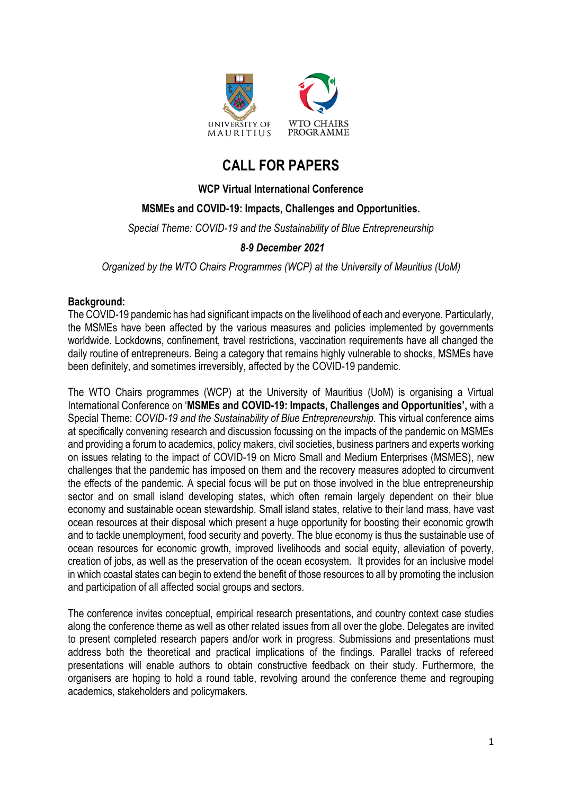

# **CALL FOR PAPERS**

# **WCP Virtual International Conference**

# **MSMEs and COVID-19: Impacts, Challenges and Opportunities.**

*Special Theme: COVID-19 and the Sustainability of Blue Entrepreneurship*

# *8-9 December 2021*

*Organized by the WTO Chairs Programmes (WCP) at the University of Mauritius (UoM)*

## **Background:**

The COVID-19 pandemic has had significant impacts on the livelihood of each and everyone. Particularly, the MSMEs have been affected by the various measures and policies implemented by governments worldwide. Lockdowns, confinement, travel restrictions, vaccination requirements have all changed the daily routine of entrepreneurs. Being a category that remains highly vulnerable to shocks, MSMEs have been definitely, and sometimes irreversibly, affected by the COVID-19 pandemic.

The WTO Chairs programmes (WCP) at the University of Mauritius (UoM) is organising a Virtual International Conference on '**MSMEs and COVID-19: Impacts, Challenges and Opportunities',** with a Special Theme: *COVID-19 and the Sustainability of Blue Entrepreneurship.* This virtual conference aims at specifically convening research and discussion focussing on the impacts of the pandemic on MSMEs and providing a forum to academics, policy makers, civil societies, business partners and experts working on issues relating to the impact of COVID-19 on Micro Small and Medium Enterprises (MSMES), new challenges that the pandemic has imposed on them and the recovery measures adopted to circumvent the effects of the pandemic. A special focus will be put on those involved in the blue entrepreneurship sector and on small island developing states, which often remain largely dependent on their blue economy and sustainable ocean stewardship. Small island states, relative to their land mass, have vast ocean resources at their disposal which present a huge opportunity for boosting their economic growth and to tackle unemployment, food security and poverty. The blue economy is thus the sustainable use of ocean resources for economic growth, improved livelihoods and social equity, alleviation of poverty, creation of jobs, as well as the preservation of the ocean ecosystem. It provides for an inclusive model in which coastal states can begin to extend the benefit of those resources to all by promoting the inclusion and participation of all affected social groups and sectors.

The conference invites conceptual, empirical research presentations, and country context case studies along the conference theme as well as other related issues from all over the globe. Delegates are invited to present completed research papers and/or work in progress. Submissions and presentations must address both the theoretical and practical implications of the findings. Parallel tracks of refereed presentations will enable authors to obtain constructive feedback on their study. Furthermore, the organisers are hoping to hold a round table, revolving around the conference theme and regrouping academics, stakeholders and policymakers.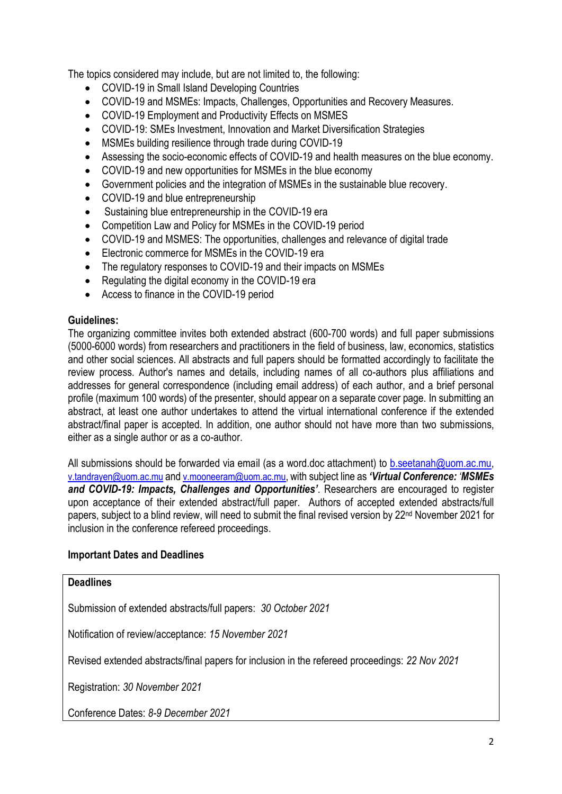The topics considered may include, but are not limited to, the following:

- COVID-19 in Small Island Developing Countries
- COVID-19 and MSMEs: Impacts, Challenges, Opportunities and Recovery Measures.
- COVID-19 Employment and Productivity Effects on MSMES
- COVID-19: SMEs Investment, Innovation and Market Diversification Strategies
- MSMEs building resilience through trade during COVID-19
- Assessing the socio-economic effects of COVID-19 and health measures on the blue economy.
- COVID-19 and new opportunities for MSMEs in the blue economy
- Government policies and the integration of MSMEs in the sustainable blue recovery.
- COVID-19 and blue entrepreneurship
- Sustaining blue entrepreneurship in the COVID-19 era
- Competition Law and Policy for MSMEs in the COVID-19 period
- COVID-19 and MSMES: The opportunities, challenges and relevance of digital trade
- Electronic commerce for MSMEs in the COVID-19 era
- The regulatory responses to COVID-19 and their impacts on MSMEs
- Regulating the digital economy in the COVID-19 era
- Access to finance in the COVID-19 period

# **Guidelines:**

The organizing committee invites both extended abstract (600-700 words) and full paper submissions (5000-6000 words) from researchers and practitioners in the field of business, law, economics, statistics and other social sciences. All abstracts and full papers should be formatted accordingly to facilitate the review process. Author's names and details, including names of all co-authors plus affiliations and addresses for general correspondence (including email address) of each author, and a brief personal profile (maximum 100 words) of the presenter, should appear on a separate cover page. In submitting an abstract, at least one author undertakes to attend the virtual international conference if the extended abstract/final paper is accepted. In addition, one author should not have more than two submissions, either as a single author or as a co-author.

All submissions should be forwarded via email (as a word.doc attachment) to [b.seetanah@uom.ac.mu,](mailto:b.seetanah@uom.ac.mu) v.tandrayen@uom.ac.mu and v.mooneeram@uom.ac.mu, with subject line as *'Virtual Conference: 'MSMEs and COVID-19: Impacts, Challenges and Opportunities'*. Researchers are encouraged to register upon acceptance of their extended abstract/full paper. Authors of accepted extended abstracts/full papers, subject to a blind review, will need to submit the final revised version by 22<sup>nd</sup> November 2021 for inclusion in the conference refereed proceedings.

# **Important Dates and Deadlines**

#### **Deadlines**

Submission of extended abstracts/full papers: *30 October 2021*

Notification of review/acceptance: *15 November 2021*

Revised extended abstracts/final papers for inclusion in the refereed proceedings: *22 Nov 2021*

Registration: *30 November 2021*

Conference Dates: *8-9 December 2021*